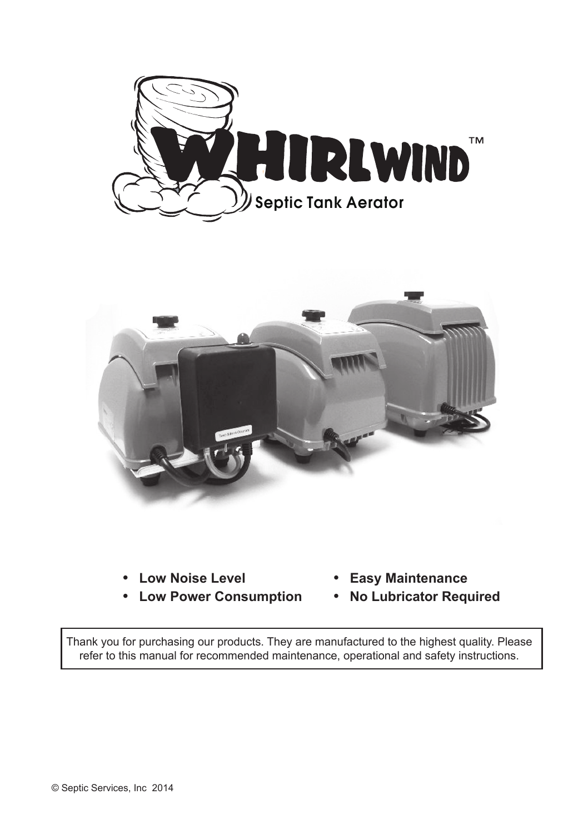



- ˙ **Low Noise Level**
- ˙ **Low Power Consumption**
- ˙ **Easy Maintenance**
- ˙ **No Lubricator Required**

Thank you for purchasing our products. They are manufactured to the highest quality. Please refer to this manual for recommended maintenance, operational and safety instructions.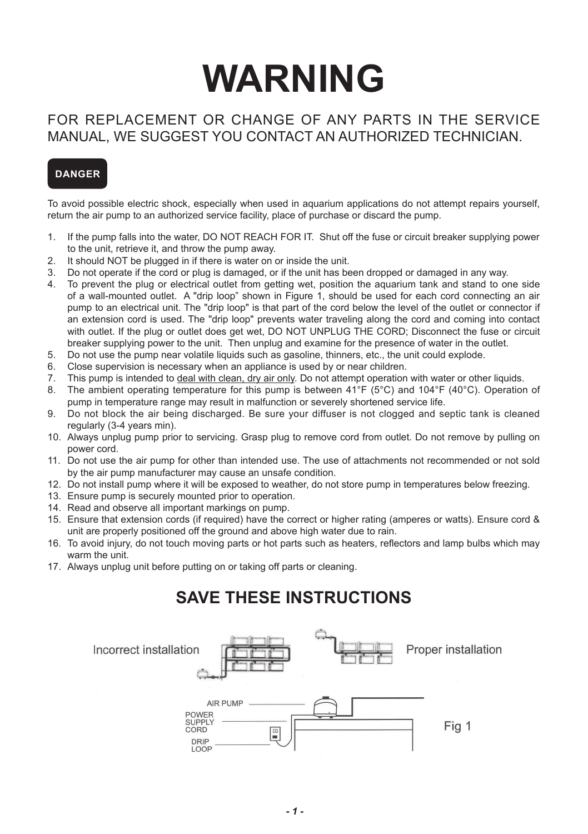# **WARNING**

# FOR REPLACEMENT OR CHANGE OF ANY PARTS IN THE SERVICE MANUAL, WE SUGGEST YOU CONTACT AN AUTHORIZED TECHNICIAN.

# **DANGER**

To avoid possible electric shock, especially when used in aquarium applications do not attempt repairs yourself, return the air pump to an authorized service facility, place of purchase or discard the pump.

- 1. If the pump falls into the water, DO NOT REACH FOR IT. Shut off the fuse or circuit breaker supplying power to the unit, retrieve it, and throw the pump away.
- 2. It should NOT be plugged in if there is water on or inside the unit.
- 3. Do not operate if the cord or plug is damaged, or if the unit has been dropped or damaged in any way.
- 4. To prevent the plug or electrical outlet from getting wet, position the aquarium tank and stand to one side of a wall-mounted outlet. A "drip loop" shown in Figure 1, should be used for each cord connecting an air pump to an electrical unit. The "drip loop" is that part of the cord below the level of the outlet or connector if an extension cord is used. The "drip loop" prevents water traveling along the cord and coming into contact with outlet. If the plug or outlet does get wet, DO NOT UNPLUG THE CORD; Disconnect the fuse or circuit breaker supplying power to the unit. Then unplug and examine for the presence of water in the outlet.
- 5. Do not use the pump near volatile liquids such as gasoline, thinners, etc., the unit could explode.
- 6. Close supervision is necessary when an appliance is used by or near children.
- 7. This pump is intended to <u>deal with clean, dry air only</u>. Do not attempt operation with water or other liquids.<br>8. The ambient operation temperature for this nump is between 41°F (5°C) and 104°F (40°C). Operation
- The ambient operating temperature for this pump is between  $41^{\circ}F$  (5°C) and  $104^{\circ}F$  (40°C). Operation of pump in temperature range may result in malfunction or severely shortened service life.
- 9. Do not block the air being discharged. Be sure your diffuser is not clogged and septic tank is cleaned regularly (3-4 years min).
- 10. Always unplug pump prior to servicing. Grasp plug to remove cord from outlet. Do not remove by pulling on power cord.
- 11. Do not use the air pump for other than intended use. The use of attachments not recommended or not sold by the air pump manufacturer may cause an unsafe condition.
- 12. Do not install pump where it will be exposed to weather, do not store pump in temperatures below freezing.
- 13. Ensure pump is securely mounted prior to operation.
- 14. Read and observe all important markings on pump.
- 15. Ensure that extension cords (if required) have the correct or higher rating (amperes or watts). Ensure cord & unit are properly positioned off the ground and above high water due to rain.
- 16. To avoid injury, do not touch moving parts or hot parts such as heaters, reflectors and lamp bulbs which may warm the unit.
- 17. Always unplug unit before putting on or taking off parts or cleaning.

# **SAVE THESE INSTRUCTIONS**

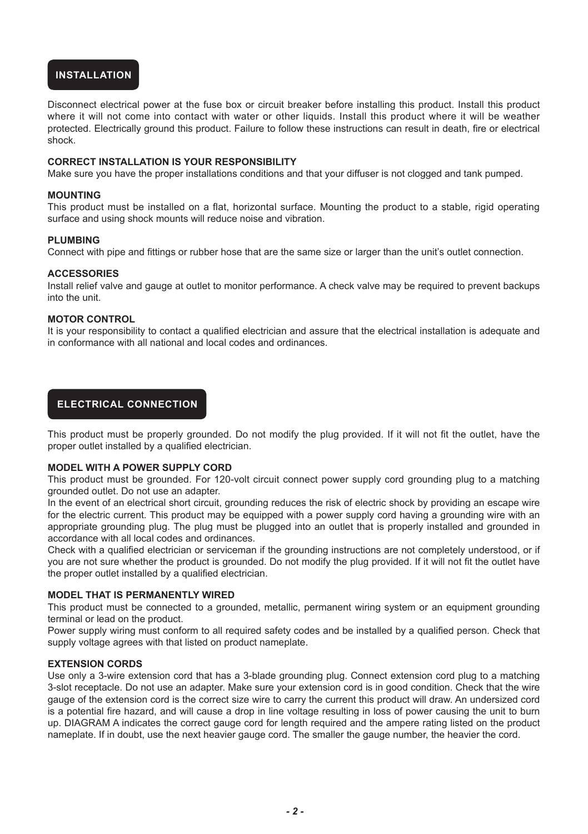# **INSTALLATION**

Disconnect electrical power at the fuse box or circuit breaker before installing this product. Install this product where it will not come into contact with water or other liquids. Install this product where it will be weather protected. Electrically ground this product. Failure to follow these instructions can result in death, fire or electrical shock.

### **CORRECT INSTALLATION IS YOUR RESPONSIBILITY**

Make sure you have the proper installations conditions and that your diffuser is not clogged and tank pumped.

### **MOUNTING**

This product must be installed on a flat, horizontal surface. Mounting the product to a stable, rigid operating surface and using shock mounts will reduce noise and vibration.

#### **PLUMBING**

Connect with pipe and fittings or rubber hose that are the same size or larger than the unit's outlet connection.

## **ACCESSORIES**

Install relief valve and gauge at outlet to monitor performance. A check valve may be required to prevent backups into the unit.

#### **MOTOR CONTROL**

It is your responsibility to contact a qualified electrician and assure that the electrical installation is adequate and in conformance with all national and local codes and ordinances.

# **ELECTRICAL CONNECTION**

This product must be properly grounded. Do not modify the plug provided. If it will not fit the outlet, have the proper outlet installed by a qualified electrician.

#### **MODEL WITH A POWER SUPPLY CORD**

This product must be grounded. For 120-volt circuit connect power supply cord grounding plug to a matching grounded outlet. Do not use an adapter.

In the event of an electrical short circuit, grounding reduces the risk of electric shock by providing an escape wire for the electric current. This product may be equipped with a power supply cord having a grounding wire with an appropriate grounding plug. The plug must be plugged into an outlet that is properly installed and grounded in accordance with all local codes and ordinances.

Check with a qualified electrician or serviceman if the grounding instructions are not completely understood, or if you are not sure whether the product is grounded. Do not modify the plug provided. If it will not fit the outlet have the proper outlet installed by a qualified electrician.

#### **MODEL THAT IS PERMANENTLY WIRED**

This product must be connected to a grounded, metallic, permanent wiring system or an equipment grounding terminal or lead on the product.

Power supply wiring must conform to all required safety codes and be installed by a qualified person. Check that supply voltage agrees with that listed on product nameplate.

#### **EXTENSION CORDS**

Use only a 3-wire extension cord that has a 3-blade grounding plug. Connect extension cord plug to a matching 3-slot receptacle. Do not use an adapter. Make sure your extension cord is in good condition. Check that the wire gauge of the extension cord is the correct size wire to carry the current this product will draw. An undersized cord is a potential fire hazard, and will cause a drop in line voltage resulting in loss of power causing the unit to burn up. DIAGRAM A indicates the correct gauge cord for length required and the ampere rating listed on the product nameplate. If in doubt, use the next heavier gauge cord. The smaller the gauge number, the heavier the cord.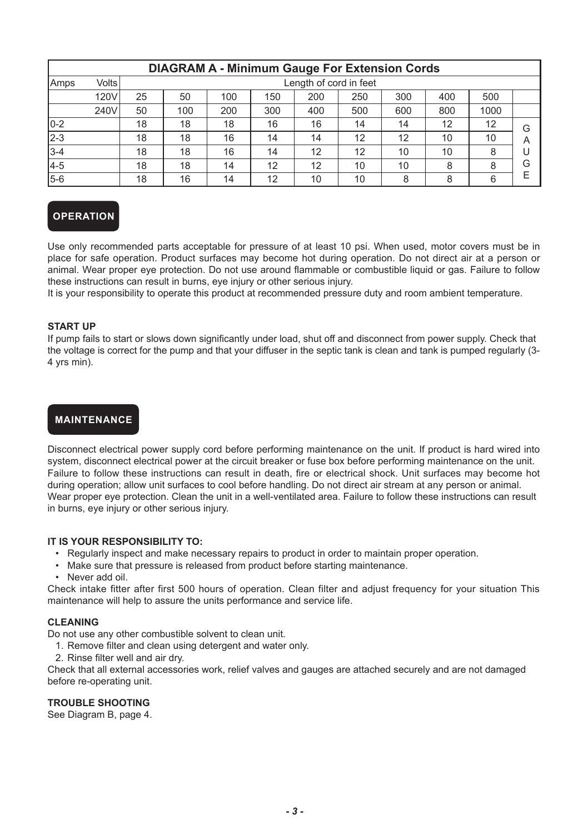| <b>DIAGRAM A - Minimum Gauge For Extension Cords</b> |       |    |                        |     |     |     |     |     |     |      |   |
|------------------------------------------------------|-------|----|------------------------|-----|-----|-----|-----|-----|-----|------|---|
| Amps                                                 | Volts |    | Length of cord in feet |     |     |     |     |     |     |      |   |
|                                                      | 120V  | 25 | 50                     | 100 | 150 | 200 | 250 | 300 | 400 | 500  |   |
|                                                      | 240V  | 50 | 100                    | 200 | 300 | 400 | 500 | 600 | 800 | 1000 |   |
| $0-2$                                                |       | 18 | 18                     | 18  | 16  | 16  | 14  | 14  | 12  | 12   | G |
| $2 - 3$                                              |       | 18 | 18                     | 16  | 14  | 14  | 12  | 12  | 10  | 10   | Α |
| $3 - 4$                                              |       | 18 | 18                     | 16  | 14  | 12  | 12  | 10  | 10  | 8    |   |
| 4-5                                                  |       | 18 | 18                     | 14  | 12  | 12  | 10  | 10  | 8   | 8    | G |
| 5-6                                                  |       | 18 | 16                     | 14  | 12  | 10  | 10  | 8   | 8   | 6    | E |

# **OPERATION**

Use only recommended parts acceptable for pressure of at least 10 psi. When used, motor covers must be in place for safe operation. Product surfaces may become hot during operation. Do not direct air at a person or animal. Wear proper eye protection. Do not use around flammable or combustible liquid or gas. Failure to follow these instructions can result in burns, eye injury or other serious injury.

It is your responsibility to operate this product at recommended pressure duty and room ambient temperature.

## **START UP**

If pump fails to start or slows down significantly under load, shut off and disconnect from power supply. Check that the voltage is correct for the pump and that your diffuser in the septic tank is clean and tank is pumped regularly (3- 4 yrs min).

## **MAINTENANCE**

Disconnect electrical power supply cord before performing maintenance on the unit. If product is hard wired into system, disconnect electrical power at the circuit breaker or fuse box before performing maintenance on the unit. Failure to follow these instructions can result in death, fire or electrical shock. Unit surfaces may become hot during operation; allow unit surfaces to cool before handling. Do not direct air stream at any person or animal. Wear proper eye protection. Clean the unit in a well-ventilated area. Failure to follow these instructions can result in burns, eye injury or other serious injury.

## **IT IS YOUR RESPONSIBILITY TO:**

- • Regularly inspect and make necessary repairs to product in order to maintain proper operation.
- Make sure that pressure is released from product before starting maintenance.
- • Never add oil.

Check intake fitter after first 500 hours of operation. Clean filter and adjust frequency for your situation This maintenance will help to assure the units performance and service life.

#### **CLEANING**

Do not use any other combustible solvent to clean unit.

- 1. Remove filter and clean using detergent and water only.
- 2. Rinse filter well and air dry.

Check that all external accessories work, relief valves and gauges are attached securely and are not damaged before re-operating unit.

## **TROUBLE SHOOTING**

See Diagram B, page 4.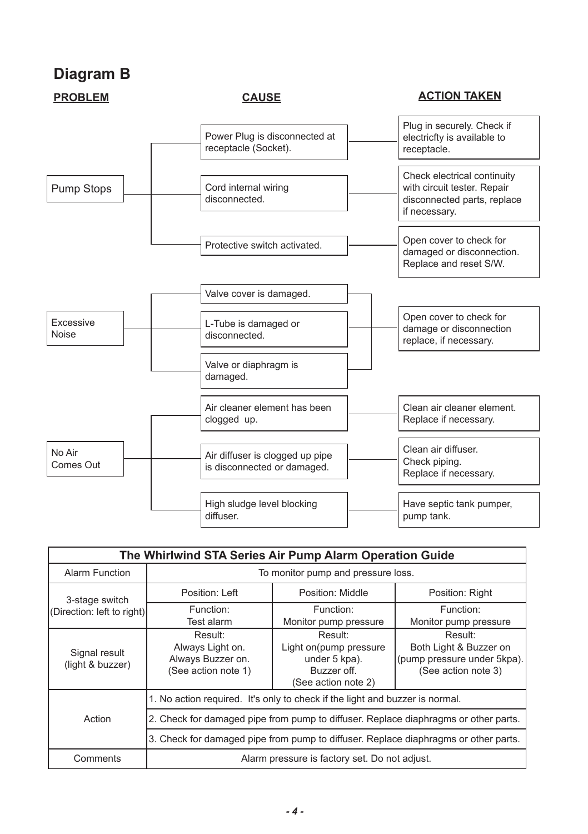# **Diagram B**



# **PROBLEM CAUSE CAUSE ACTION TAKEN**



| The Whirlwind STA Series Air Pump Alarm Operation Guide   |                                                                                     |                                                                                          |                                                                                         |  |  |  |  |  |  |  |
|-----------------------------------------------------------|-------------------------------------------------------------------------------------|------------------------------------------------------------------------------------------|-----------------------------------------------------------------------------------------|--|--|--|--|--|--|--|
| Alarm Function                                            | To monitor pump and pressure loss.                                                  |                                                                                          |                                                                                         |  |  |  |  |  |  |  |
| 3-stage switch                                            | Position: Left                                                                      | Position: Middle                                                                         | Position: Right                                                                         |  |  |  |  |  |  |  |
| (Direction: left to right)                                | Function:<br>Test alarm                                                             | Function:<br>Monitor pump pressure                                                       | Function:<br>Monitor pump pressure                                                      |  |  |  |  |  |  |  |
| Signal result<br>(light & buzzer)                         | Result:<br>Always Light on.<br>Always Buzzer on.<br>(See action note 1)             | Result:<br>Light on(pump pressure<br>under 5 kpa).<br>Buzzer off.<br>(See action note 2) | Result:<br>Both Light & Buzzer on<br>(pump pressure under 5kpa).<br>(See action note 3) |  |  |  |  |  |  |  |
|                                                           | 1. No action required. It's only to check if the light and buzzer is normal.        |                                                                                          |                                                                                         |  |  |  |  |  |  |  |
| Action                                                    | 2. Check for damaged pipe from pump to diffuser. Replace diaphragms or other parts. |                                                                                          |                                                                                         |  |  |  |  |  |  |  |
|                                                           | 3. Check for damaged pipe from pump to diffuser. Replace diaphragms or other parts. |                                                                                          |                                                                                         |  |  |  |  |  |  |  |
| Alarm pressure is factory set. Do not adjust.<br>Comments |                                                                                     |                                                                                          |                                                                                         |  |  |  |  |  |  |  |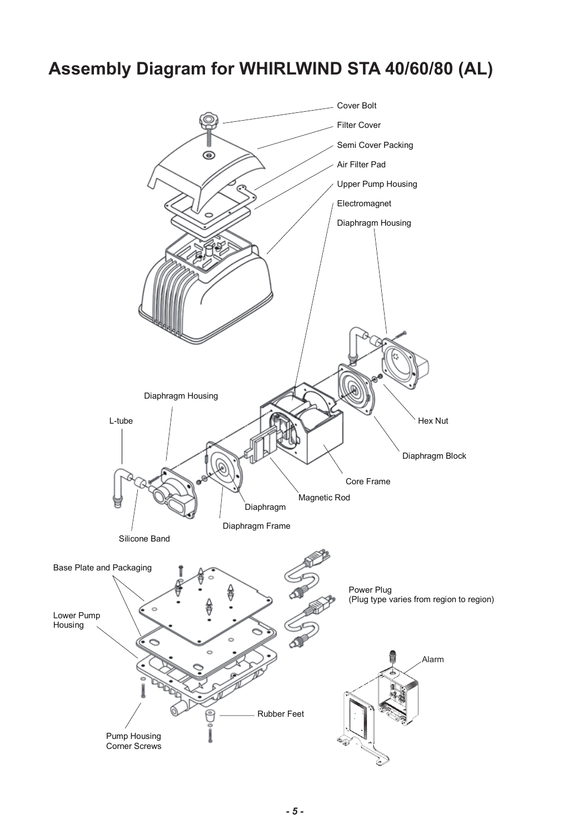# **Assembly Diagram for WHIRLWIND STA 40/60/80 (AL) Assembly Diagram for :+,5/:,1'67A-40/60/80\$/**

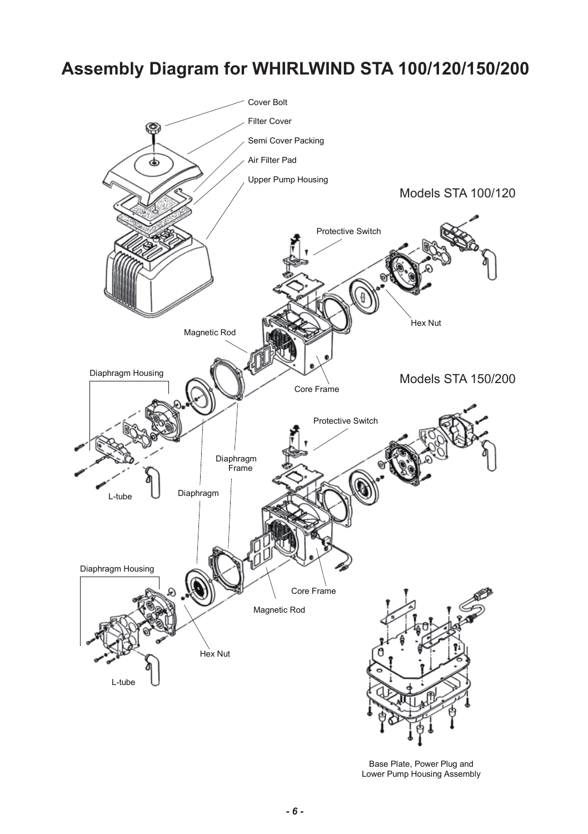# **Assembly Diagram for WHIRLWIND STA 100/120/150/200 Assembly Diagram for Models 67A 100/120/150/200**



Base Plate, Power Plug and Lower Pump Housing Assembly